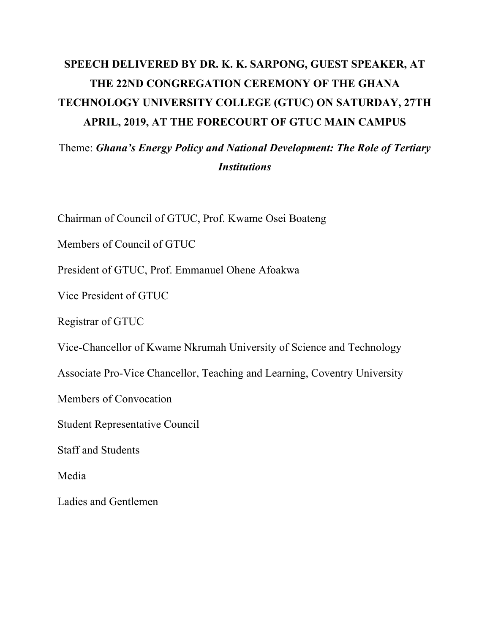## **SPEECH DELIVERED BY DR. K. K. SARPONG, GUEST SPEAKER, AT THE 22ND CONGREGATION CEREMONY OF THE GHANA TECHNOLOGY UNIVERSITY COLLEGE (GTUC) ON SATURDAY, 27TH APRIL, 2019, AT THE FORECOURT OF GTUC MAIN CAMPUS**

## Theme: *Ghana's Energy Policy and National Development: The Role of Tertiary Institutions*

Chairman of Council of GTUC, Prof. Kwame Osei Boateng

Members of Council of GTUC

President of GTUC, Prof. Emmanuel Ohene Afoakwa

Vice President of GTUC

Registrar of GTUC

Vice-Chancellor of Kwame Nkrumah University of Science and Technology

Associate Pro-Vice Chancellor, Teaching and Learning, Coventry University

Members of Convocation

Student Representative Council

Staff and Students

Media

Ladies and Gentlemen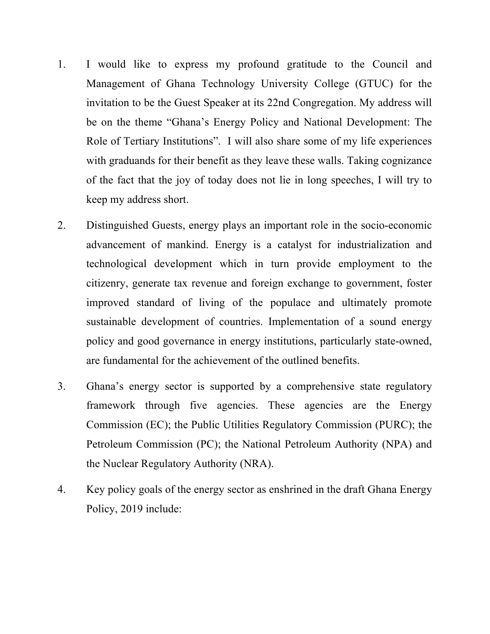- 1. I would like to express my profound gratitude to the Council and Management of Ghana Technology University College (GTUC) for the invitation to be the Guest Speaker at its 22nd Congregation. My address will be on the theme "Ghana's Energy Policy and National Development: The Role of Tertiary Institutions". I will also share some of my life experiences with graduands for their benefit as they leave these walls. Taking cognizance of the fact that the joy of today does not lie in long speeches, I will try to keep my address short.
- 2. Distinguished Guests, energy plays an important role in the socio-economic advancement of mankind. Energy is a catalyst for industrialization and technological development which in turn provide employment to the citizenry, generate tax revenue and foreign exchange to government, foster improved standard of living of the populace and ultimately promote sustainable development of countries. Implementation of a sound energy policy and good governance in energy institutions, particularly state-owned, are fundamental for the achievement of the outlined benefits.
- 3. Ghana's energy sector is supported by a comprehensive state regulatory framework through five agencies. These agencies are the Energy Commission (EC); the Public Utilities Regulatory Commission (PURC); the Petroleum Commission (PC); the National Petroleum Authority (NPA) and the Nuclear Regulatory Authority (NRA).
- 4. Key policy goals of the energy sector as enshrined in the draft Ghana Energy Policy, 2019 include: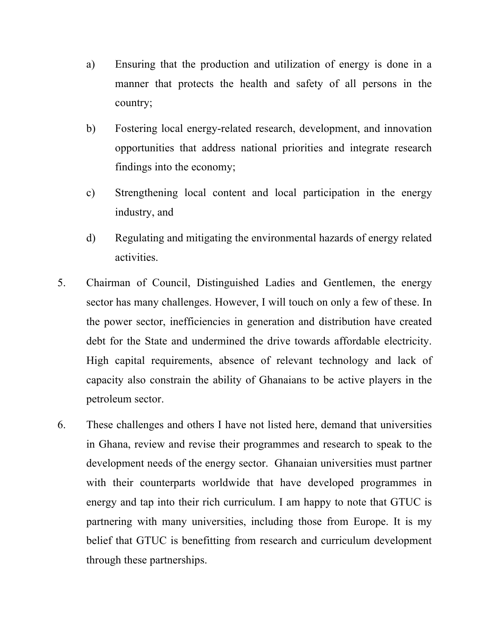- a) Ensuring that the production and utilization of energy is done in a manner that protects the health and safety of all persons in the country;
- b) Fostering local energy-related research, development, and innovation opportunities that address national priorities and integrate research findings into the economy;
- c) Strengthening local content and local participation in the energy industry, and
- d) Regulating and mitigating the environmental hazards of energy related activities.
- 5. Chairman of Council, Distinguished Ladies and Gentlemen, the energy sector has many challenges. However, I will touch on only a few of these. In the power sector, inefficiencies in generation and distribution have created debt for the State and undermined the drive towards affordable electricity. High capital requirements, absence of relevant technology and lack of capacity also constrain the ability of Ghanaians to be active players in the petroleum sector.
- 6. These challenges and others I have not listed here, demand that universities in Ghana, review and revise their programmes and research to speak to the development needs of the energy sector. Ghanaian universities must partner with their counterparts worldwide that have developed programmes in energy and tap into their rich curriculum. I am happy to note that GTUC is partnering with many universities, including those from Europe. It is my belief that GTUC is benefitting from research and curriculum development through these partnerships.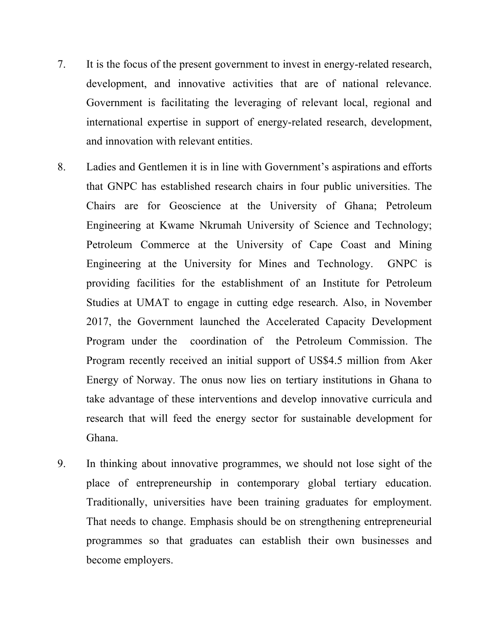- 7. It is the focus of the present government to invest in energy-related research, development, and innovative activities that are of national relevance. Government is facilitating the leveraging of relevant local, regional and international expertise in support of energy-related research, development, and innovation with relevant entities.
- 8. Ladies and Gentlemen it is in line with Government's aspirations and efforts that GNPC has established research chairs in four public universities. The Chairs are for Geoscience at the University of Ghana; Petroleum Engineering at Kwame Nkrumah University of Science and Technology; Petroleum Commerce at the University of Cape Coast and Mining Engineering at the University for Mines and Technology. GNPC is providing facilities for the establishment of an Institute for Petroleum Studies at UMAT to engage in cutting edge research. Also, in November 2017, the Government launched the Accelerated Capacity Development Program under the coordination of the Petroleum Commission. The Program recently received an initial support of US\$4.5 million from Aker Energy of Norway. The onus now lies on tertiary institutions in Ghana to take advantage of these interventions and develop innovative curricula and research that will feed the energy sector for sustainable development for Ghana.
- 9. In thinking about innovative programmes, we should not lose sight of the place of entrepreneurship in contemporary global tertiary education. Traditionally, universities have been training graduates for employment. That needs to change. Emphasis should be on strengthening entrepreneurial programmes so that graduates can establish their own businesses and become employers.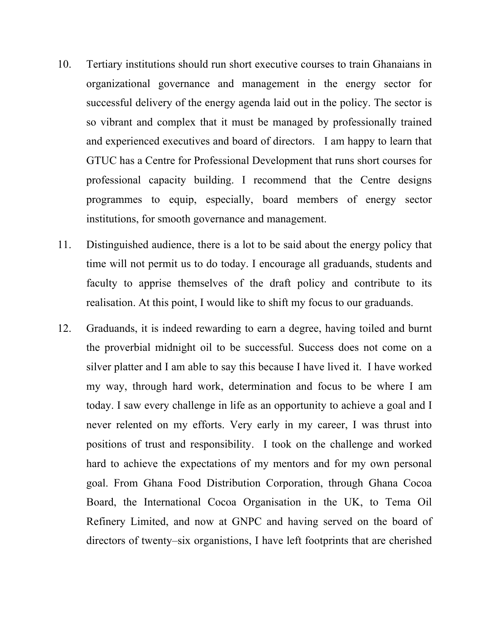- 10. Tertiary institutions should run short executive courses to train Ghanaians in organizational governance and management in the energy sector for successful delivery of the energy agenda laid out in the policy. The sector is so vibrant and complex that it must be managed by professionally trained and experienced executives and board of directors. I am happy to learn that GTUC has a Centre for Professional Development that runs short courses for professional capacity building. I recommend that the Centre designs programmes to equip, especially, board members of energy sector institutions, for smooth governance and management.
- 11. Distinguished audience, there is a lot to be said about the energy policy that time will not permit us to do today. I encourage all graduands, students and faculty to apprise themselves of the draft policy and contribute to its realisation. At this point, I would like to shift my focus to our graduands.
- 12. Graduands, it is indeed rewarding to earn a degree, having toiled and burnt the proverbial midnight oil to be successful. Success does not come on a silver platter and I am able to say this because I have lived it. I have worked my way, through hard work, determination and focus to be where I am today. I saw every challenge in life as an opportunity to achieve a goal and I never relented on my efforts. Very early in my career, I was thrust into positions of trust and responsibility. I took on the challenge and worked hard to achieve the expectations of my mentors and for my own personal goal. From Ghana Food Distribution Corporation, through Ghana Cocoa Board, the International Cocoa Organisation in the UK, to Tema Oil Refinery Limited, and now at GNPC and having served on the board of directors of twenty–six organistions, I have left footprints that are cherished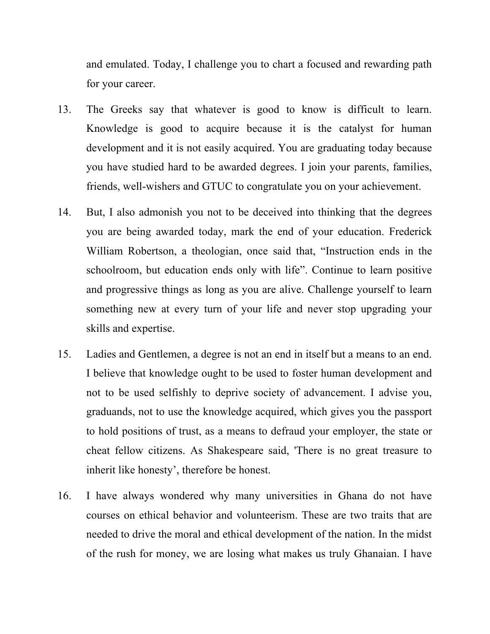and emulated. Today, I challenge you to chart a focused and rewarding path for your career.

- 13. The Greeks say that whatever is good to know is difficult to learn. Knowledge is good to acquire because it is the catalyst for human development and it is not easily acquired. You are graduating today because you have studied hard to be awarded degrees. I join your parents, families, friends, well-wishers and GTUC to congratulate you on your achievement.
- 14. But, I also admonish you not to be deceived into thinking that the degrees you are being awarded today, mark the end of your education. Frederick William Robertson, a theologian, once said that, "Instruction ends in the schoolroom, but education ends only with life". Continue to learn positive and progressive things as long as you are alive. Challenge yourself to learn something new at every turn of your life and never stop upgrading your skills and expertise.
- 15. Ladies and Gentlemen, a degree is not an end in itself but a means to an end. I believe that knowledge ought to be used to foster human development and not to be used selfishly to deprive society of advancement. I advise you, graduands, not to use the knowledge acquired, which gives you the passport to hold positions of trust, as a means to defraud your employer, the state or cheat fellow citizens. As Shakespeare said, 'There is no great treasure to inherit like honesty', therefore be honest.
- 16. I have always wondered why many universities in Ghana do not have courses on ethical behavior and volunteerism. These are two traits that are needed to drive the moral and ethical development of the nation. In the midst of the rush for money, we are losing what makes us truly Ghanaian. I have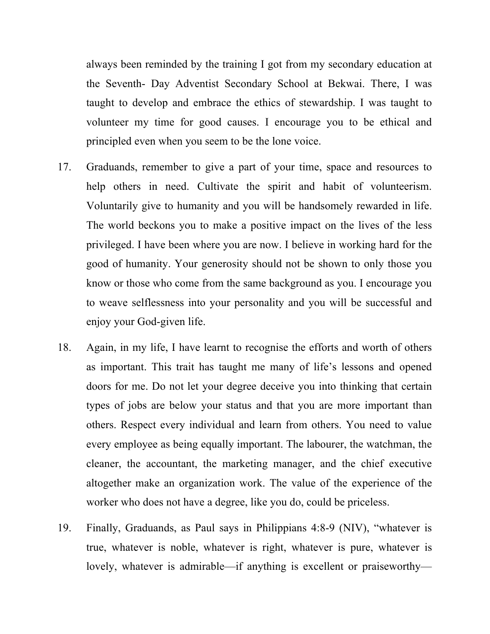always been reminded by the training I got from my secondary education at the Seventh- Day Adventist Secondary School at Bekwai. There, I was taught to develop and embrace the ethics of stewardship. I was taught to volunteer my time for good causes. I encourage you to be ethical and principled even when you seem to be the lone voice.

- 17. Graduands, remember to give a part of your time, space and resources to help others in need. Cultivate the spirit and habit of volunteerism. Voluntarily give to humanity and you will be handsomely rewarded in life. The world beckons you to make a positive impact on the lives of the less privileged. I have been where you are now. I believe in working hard for the good of humanity. Your generosity should not be shown to only those you know or those who come from the same background as you. I encourage you to weave selflessness into your personality and you will be successful and enjoy your God-given life.
- 18. Again, in my life, I have learnt to recognise the efforts and worth of others as important. This trait has taught me many of life's lessons and opened doors for me. Do not let your degree deceive you into thinking that certain types of jobs are below your status and that you are more important than others. Respect every individual and learn from others. You need to value every employee as being equally important. The labourer, the watchman, the cleaner, the accountant, the marketing manager, and the chief executive altogether make an organization work. The value of the experience of the worker who does not have a degree, like you do, could be priceless.
- 19. Finally, Graduands, as Paul says in Philippians 4:8-9 (NIV), "whatever is true, whatever is noble, whatever is right, whatever is pure, whatever is lovely, whatever is admirable—if anything is excellent or praiseworthy—